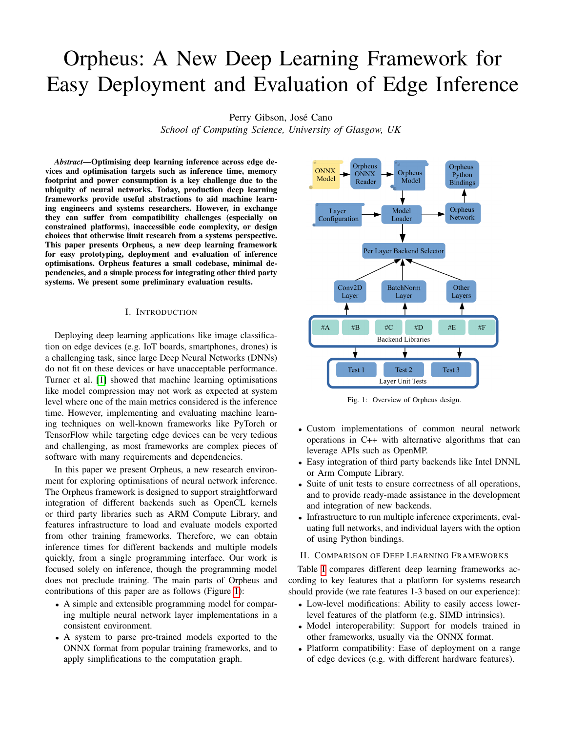# Orpheus: A New Deep Learning Framework for Easy Deployment and Evaluation of Edge Inference

Perry Gibson, José Cano

*School of Computing Science, University of Glasgow, UK*

*Abstract*—Optimising deep learning inference across edge devices and optimisation targets such as inference time, memory footprint and power consumption is a key challenge due to the ubiquity of neural networks. Today, production deep learning frameworks provide useful abstractions to aid machine learning engineers and systems researchers. However, in exchange they can suffer from compatibility challenges (especially on constrained platforms), inaccessible code complexity, or design choices that otherwise limit research from a systems perspective. This paper presents Orpheus, a new deep learning framework for easy prototyping, deployment and evaluation of inference optimisations. Orpheus features a small codebase, minimal dependencies, and a simple process for integrating other third party systems. We present some preliminary evaluation results.

## I. INTRODUCTION

Deploying deep learning applications like image classification on edge devices (e.g. IoT boards, smartphones, drones) is a challenging task, since large Deep Neural Networks (DNNs) do not fit on these devices or have unacceptable performance. Turner et al. [\[1\]](#page-1-0) showed that machine learning optimisations like model compression may not work as expected at system level where one of the main metrics considered is the inference time. However, implementing and evaluating machine learning techniques on well-known frameworks like PyTorch or TensorFlow while targeting edge devices can be very tedious and challenging, as most frameworks are complex pieces of software with many requirements and dependencies.

In this paper we present Orpheus, a new research environment for exploring optimisations of neural network inference. The Orpheus framework is designed to support straightforward integration of different backends such as OpenCL kernels or third party libraries such as ARM Compute Library, and features infrastructure to load and evaluate models exported from other training frameworks. Therefore, we can obtain inference times for different backends and multiple models quickly, from a single programming interface. Our work is focused solely on inference, though the programming model does not preclude training. The main parts of Orpheus and contributions of this paper are as follows (Figure [1\)](#page-0-0):

- A simple and extensible programming model for comparing multiple neural network layer implementations in a consistent environment.
- A system to parse pre-trained models exported to the ONNX format from popular training frameworks, and to apply simplifications to the computation graph.

<span id="page-0-0"></span>

Fig. 1: Overview of Orpheus design.

- Custom implementations of common neural network operations in C++ with alternative algorithms that can leverage APIs such as OpenMP.
- Easy integration of third party backends like Intel DNNL or Arm Compute Library.
- Suite of unit tests to ensure correctness of all operations, and to provide ready-made assistance in the development and integration of new backends.
- Infrastructure to run multiple inference experiments, evaluating full networks, and individual layers with the option of using Python bindings.

# <span id="page-0-1"></span>II. COMPARISON OF DEEP LEARNING FRAMEWORKS

Table [I](#page-1-1) compares different deep learning frameworks according to key features that a platform for systems research should provide (we rate features 1-3 based on our experience):

- Low-level modifications: Ability to easily access lowerlevel features of the platform (e.g. SIMD intrinsics).
- Model interoperability: Support for models trained in other frameworks, usually via the ONNX format.
- Platform compatibility: Ease of deployment on a range of edge devices (e.g. with different hardware features).